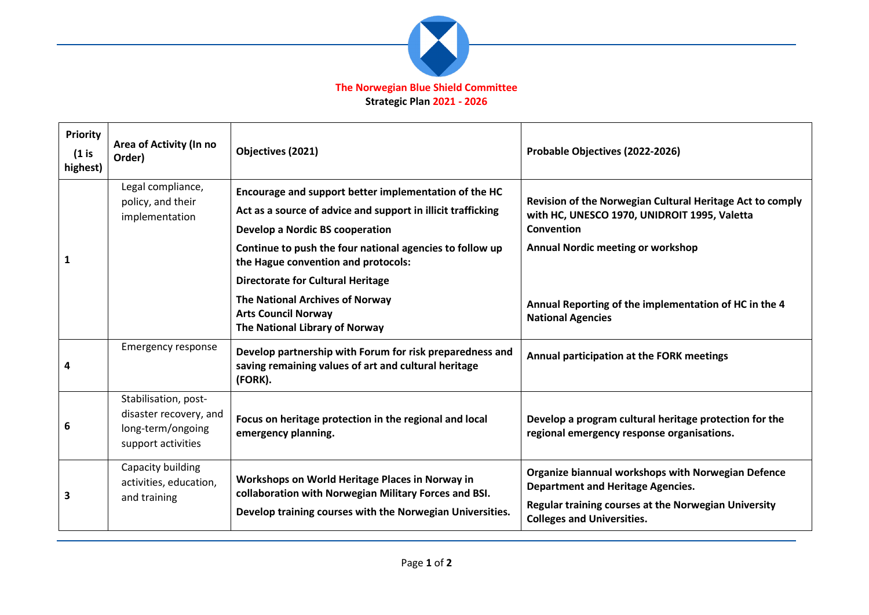

**Strategic Plan 2021 - 2026**

| <b>Priority</b><br>$(1)$ is<br>highest) | Area of Activity (In no<br>Order)                                                         | Objectives (2021)                                                                                                                                        | Probable Objectives (2022-2026)                                                                                         |
|-----------------------------------------|-------------------------------------------------------------------------------------------|----------------------------------------------------------------------------------------------------------------------------------------------------------|-------------------------------------------------------------------------------------------------------------------------|
|                                         | Legal compliance,<br>policy, and their<br>implementation                                  | Encourage and support better implementation of the HC<br>Act as a source of advice and support in illicit trafficking<br>Develop a Nordic BS cooperation | Revision of the Norwegian Cultural Heritage Act to comply<br>with HC, UNESCO 1970, UNIDROIT 1995, Valetta<br>Convention |
| 1                                       |                                                                                           | Continue to push the four national agencies to follow up<br>the Hague convention and protocols:                                                          | <b>Annual Nordic meeting or workshop</b>                                                                                |
|                                         |                                                                                           | <b>Directorate for Cultural Heritage</b>                                                                                                                 |                                                                                                                         |
|                                         |                                                                                           | The National Archives of Norway<br><b>Arts Council Norway</b><br>The National Library of Norway                                                          | Annual Reporting of the implementation of HC in the 4<br><b>National Agencies</b>                                       |
| 4                                       | <b>Emergency response</b>                                                                 | Develop partnership with Forum for risk preparedness and<br>saving remaining values of art and cultural heritage<br>(FORK).                              | Annual participation at the FORK meetings                                                                               |
| 6                                       | Stabilisation, post-<br>disaster recovery, and<br>long-term/ongoing<br>support activities | Focus on heritage protection in the regional and local<br>emergency planning.                                                                            | Develop a program cultural heritage protection for the<br>regional emergency response organisations.                    |
| 3                                       | Capacity building<br>activities, education,<br>and training                               | Workshops on World Heritage Places in Norway in<br>collaboration with Norwegian Military Forces and BSI.                                                 | Organize biannual workshops with Norwegian Defence<br><b>Department and Heritage Agencies.</b>                          |
|                                         |                                                                                           | Develop training courses with the Norwegian Universities.                                                                                                | Regular training courses at the Norwegian University<br><b>Colleges and Universities.</b>                               |